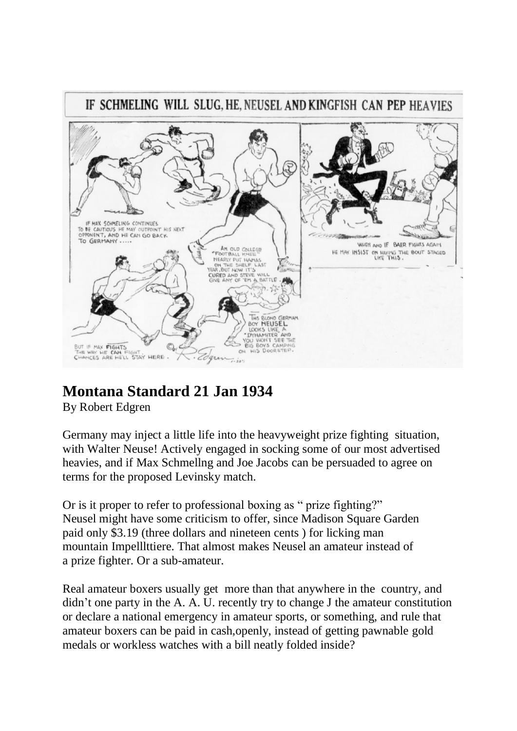

# **Montana Standard 21 Jan 1934**

By Robert Edgren

Germany may inject a little life into the heavyweight prize fighting situation, with Walter Neuse! Actively engaged in socking some of our most advertised heavies, and if Max Schmellng and Joe Jacobs can be persuaded to agree on terms for the proposed Levinsky match.

Or is it proper to refer to professional boxing as " prize fighting?" Neusel might have some criticism to offer, since Madison Square Garden paid only \$3.19 (three dollars and nineteen cents ) for licking man mountain Impelllttiere. That almost makes Neusel an amateur instead of a prize fighter. Or a sub-amateur.

Real amateur boxers usually get more than that anywhere in the country, and didn't one party in the A. A. U. recently try to change J the amateur constitution or declare a national emergency in amateur sports, or something, and rule that amateur boxers can be paid in cash,openly, instead of getting pawnable gold medals or workless watches with a bill neatly folded inside?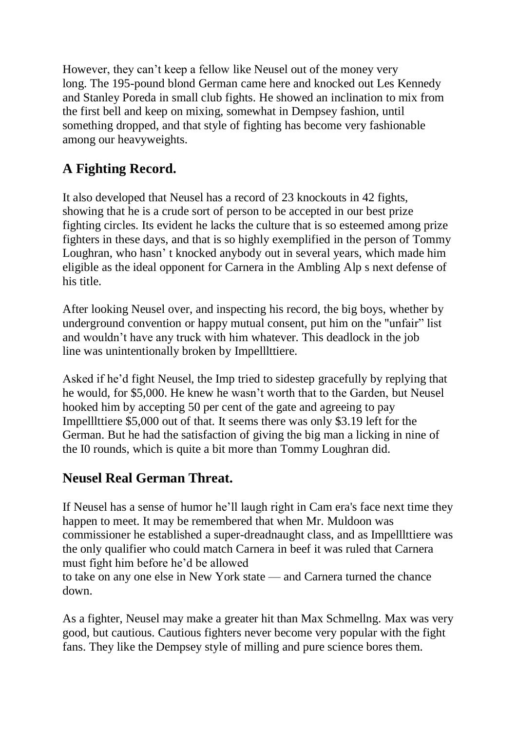However, they can't keep a fellow like Neusel out of the money very long. The 195-pound blond German came here and knocked out Les Kennedy and Stanley Poreda in small club fights. He showed an inclination to mix from the first bell and keep on mixing, somewhat in Dempsey fashion, until something dropped, and that style of fighting has become very fashionable among our heavyweights.

## **A Fighting Record.**

It also developed that Neusel has a record of 23 knockouts in 42 fights, showing that he is a crude sort of person to be accepted in our best prize fighting circles. Its evident he lacks the culture that is so esteemed among prize fighters in these days, and that is so highly exemplified in the person of Tommy Loughran, who hasn' t knocked anybody out in several years, which made him eligible as the ideal opponent for Carnera in the Ambling Alp s next defense of his title.

After looking Neusel over, and inspecting his record, the big boys, whether by underground convention or happy mutual consent, put him on the "unfair" list and wouldn't have any truck with him whatever. This deadlock in the job line was unintentionally broken by Impelllttiere.

Asked if he'd fight Neusel, the Imp tried to sidestep gracefully by replying that he would, for \$5,000. He knew he wasn't worth that to the Garden, but Neusel hooked him by accepting 50 per cent of the gate and agreeing to pay Impelllttiere \$5,000 out of that. It seems there was only \$3.19 left for the German. But he had the satisfaction of giving the big man a licking in nine of the I0 rounds, which is quite a bit more than Tommy Loughran did.

#### **Neusel Real German Threat.**

If Neusel has a sense of humor he'll laugh right in Cam era's face next time they happen to meet. It may be remembered that when Mr. Muldoon was commissioner he established a super-dreadnaught class, and as Impelllttiere was the only qualifier who could match Carnera in beef it was ruled that Carnera must fight him before he'd be allowed

to take on any one else in New York state — and Carnera turned the chance down.

As a fighter, Neusel may make a greater hit than Max Schmellng. Max was very good, but cautious. Cautious fighters never become very popular with the fight fans. They like the Dempsey style of milling and pure science bores them.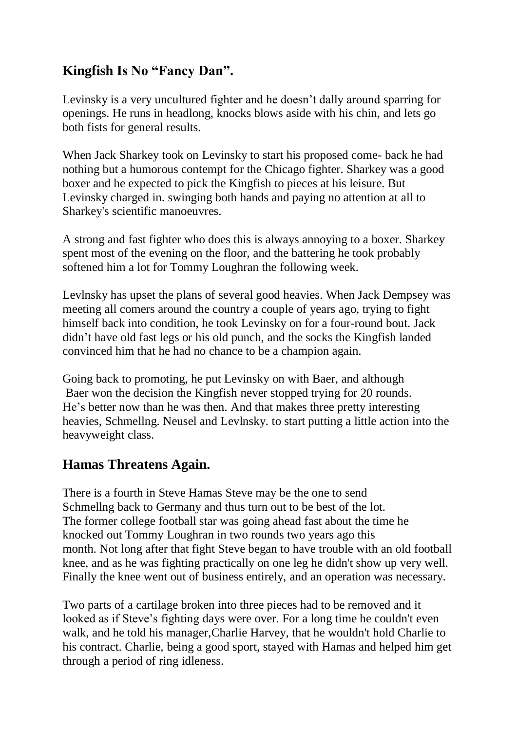### **Kingfish Is No "Fancy Dan".**

Levinsky is a very uncultured fighter and he doesn't dally around sparring for openings. He runs in headlong, knocks blows aside with his chin, and lets go both fists for general results.

When Jack Sharkey took on Levinsky to start his proposed come- back he had nothing but a humorous contempt for the Chicago fighter. Sharkey was a good boxer and he expected to pick the Kingfish to pieces at his leisure. But Levinsky charged in. swinging both hands and paying no attention at all to Sharkey's scientific manoeuvres.

A strong and fast fighter who does this is always annoying to a boxer. Sharkey spent most of the evening on the floor, and the battering he took probably softened him a lot for Tommy Loughran the following week.

Levlnsky has upset the plans of several good heavies. When Jack Dempsey was meeting all comers around the country a couple of years ago, trying to fight himself back into condition, he took Levinsky on for a four-round bout. Jack didn't have old fast legs or his old punch, and the socks the Kingfish landed convinced him that he had no chance to be a champion again.

Going back to promoting, he put Levinsky on with Baer, and although Baer won the decision the Kingfish never stopped trying for 20 rounds. He's better now than he was then. And that makes three pretty interesting heavies, Schmellng. Neusel and Levlnsky. to start putting a little action into the heavyweight class.

#### **Hamas Threatens Again.**

There is a fourth in Steve Hamas Steve may be the one to send Schmellng back to Germany and thus turn out to be best of the lot. The former college football star was going ahead fast about the time he knocked out Tommy Loughran in two rounds two years ago this month. Not long after that fight Steve began to have trouble with an old football knee, and as he was fighting practically on one leg he didn't show up very well. Finally the knee went out of business entirely, and an operation was necessary.

Two parts of a cartilage broken into three pieces had to be removed and it looked as if Steve's fighting days were over. For a long time he couldn't even walk, and he told his manager,Charlie Harvey, that he wouldn't hold Charlie to his contract. Charlie, being a good sport, stayed with Hamas and helped him get through a period of ring idleness.